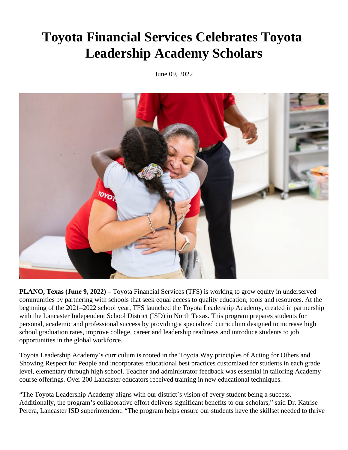## **Toyota Financial Services Celebrates Toyota Leadership Academy Scholars**

June 09, 2022



**PLANO, Texas (June 9, 2022) –** Toyota Financial Services (TFS) is working to grow equity in underserved communities by partnering with schools that seek equal access to quality education, tools and resources. At the beginning of the 2021–2022 school year, TFS launched the Toyota Leadership Academy, created in partnership with the Lancaster Independent School District (ISD) in North Texas. This program prepares students for personal, academic and professional success by providing a specialized curriculum designed to increase high school graduation rates, improve college, career and leadership readiness and introduce students to job opportunities in the global workforce.

Toyota Leadership Academy's curriculum is rooted in the Toyota Way principles of Acting for Others and Showing Respect for People and incorporates educational best practices customized for students in each grade level, elementary through high school. Teacher and administrator feedback was essential in tailoring Academy course offerings. Over 200 Lancaster educators received training in new educational techniques.

"The Toyota Leadership Academy aligns with our district's vision of every student being a success. Additionally, the program's collaborative effort delivers significant benefits to our scholars," said Dr. Katrise Perera, Lancaster ISD superintendent. "The program helps ensure our students have the skillset needed to thrive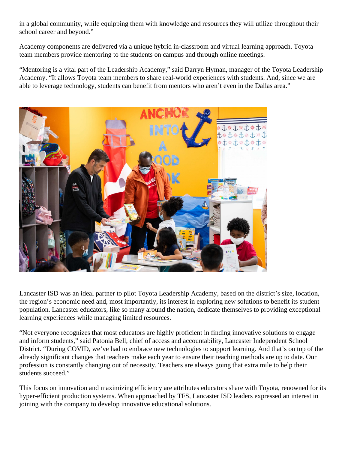in a global community, while equipping them with knowledge and resources they will utilize throughout their school career and beyond."

Academy components are delivered via a unique hybrid in-classroom and virtual learning approach. Toyota team members provide mentoring to the students on campus and through online meetings.

"Mentoring is a vital part of the Leadership Academy," said Darryn Hyman, manager of the Toyota Leadership Academy. "It allows Toyota team members to share real-world experiences with students. And, since we are able to leverage technology, students can benefit from mentors who aren't even in the Dallas area."



Lancaster ISD was an ideal partner to pilot Toyota Leadership Academy, based on the district's size, location, the region's economic need and, most importantly, its interest in exploring new solutions to benefit its student population. Lancaster educators, like so many around the nation, dedicate themselves to providing exceptional learning experiences while managing limited resources.

"Not everyone recognizes that most educators are highly proficient in finding innovative solutions to engage and inform students," said Patonia Bell, chief of access and accountability, Lancaster Independent School District. "During COVID, we've had to embrace new technologies to support learning. And that's on top of the already significant changes that teachers make each year to ensure their teaching methods are up to date. Our profession is constantly changing out of necessity. Teachers are always going that extra mile to help their students succeed."

This focus on innovation and maximizing efficiency are attributes educators share with Toyota, renowned for its hyper-efficient production systems. When approached by TFS, Lancaster ISD leaders expressed an interest in joining with the company to develop innovative educational solutions.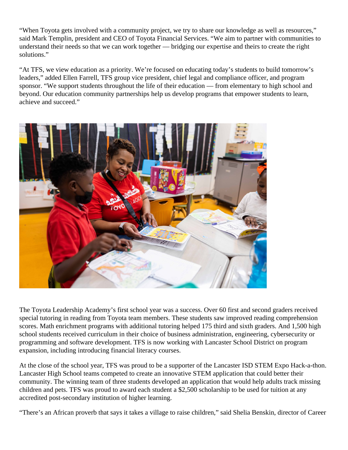"When Toyota gets involved with a community project, we try to share our knowledge as well as resources," said Mark Templin, president and CEO of Toyota Financial Services. "We aim to partner with communities to understand their needs so that we can work together — bridging our expertise and theirs to create the right solutions."

"At TFS, we view education as a priority. We're focused on educating today's students to build tomorrow's leaders," added Ellen Farrell, TFS group vice president, chief legal and compliance officer, and program sponsor. "We support students throughout the life of their education — from elementary to high school and beyond. Our education community partnerships help us develop programs that empower students to learn, achieve and succeed."



The Toyota Leadership Academy's first school year was a success. Over 60 first and second graders received special tutoring in reading from Toyota team members. These students saw improved reading comprehension scores. Math enrichment programs with additional tutoring helped 175 third and sixth graders. And 1,500 high school students received curriculum in their choice of business administration, engineering, cybersecurity or programming and software development. TFS is now working with Lancaster School District on program expansion, including introducing financial literacy courses.

At the close of the school year, TFS was proud to be a supporter of the Lancaster ISD STEM Expo Hack-a-thon. Lancaster High School teams competed to create an innovative STEM application that could better their community. The winning team of three students developed an application that would help adults track missing children and pets. TFS was proud to award each student a \$2,500 scholarship to be used for tuition at any accredited post-secondary institution of higher learning.

"There's an African proverb that says it takes a village to raise children," said Shelia Benskin, director of Career